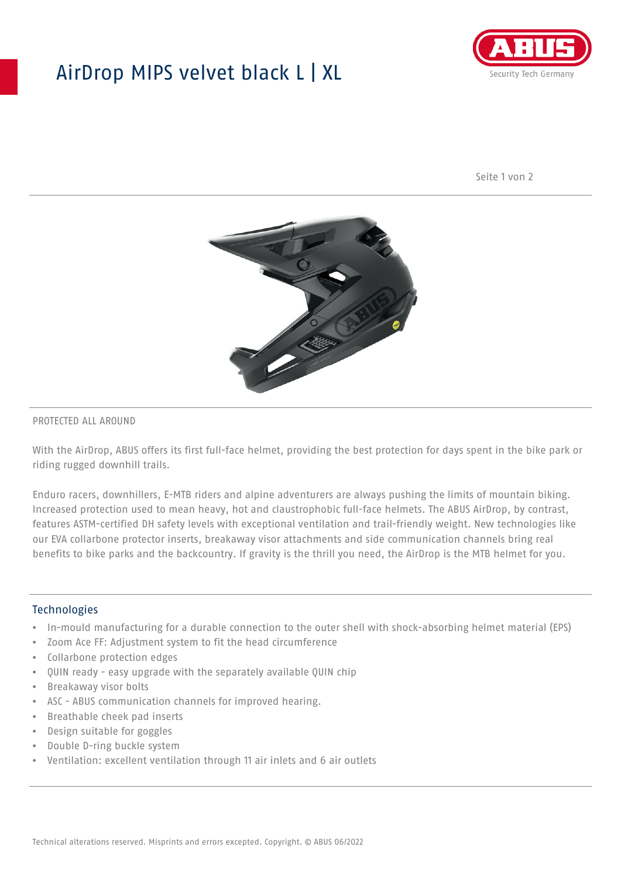## AirDrop MIPS velvet black L | XL



Seite 1 von 2



#### PROTECTED ALL AROUND

With the AirDrop, ABUS offers its first full-face helmet, providing the best protection for days spent in the bike park or riding rugged downhill trails.

Enduro racers, downhillers, E-MTB riders and alpine adventurers are always pushing the limits of mountain biking. Increased protection used to mean heavy, hot and claustrophobic full-face helmets. The ABUS AirDrop, by contrast, features ASTM-certified DH safety levels with exceptional ventilation and trail-friendly weight. New technologies like our EVA collarbone protector inserts, breakaway visor attachments and side communication channels bring real benefits to bike parks and the backcountry. If gravity is the thrill you need, the AirDrop is the MTB helmet for you.

#### **Technologies**

- In-mould manufacturing for a durable connection to the outer shell with shock-absorbing helmet material (EPS)
- Zoom Ace FF: Adjustment system to fit the head circumference
- Collarbone protection edges
- QUIN ready easy upgrade with the separately available QUIN chip
- Breakaway visor bolts
- ASC ABUS communication channels for improved hearing.
- Breathable cheek pad inserts
- Design suitable for goggles
- Double D-ring buckle system
- Ventilation: excellent ventilation through 11 air inlets and 6 air outlets